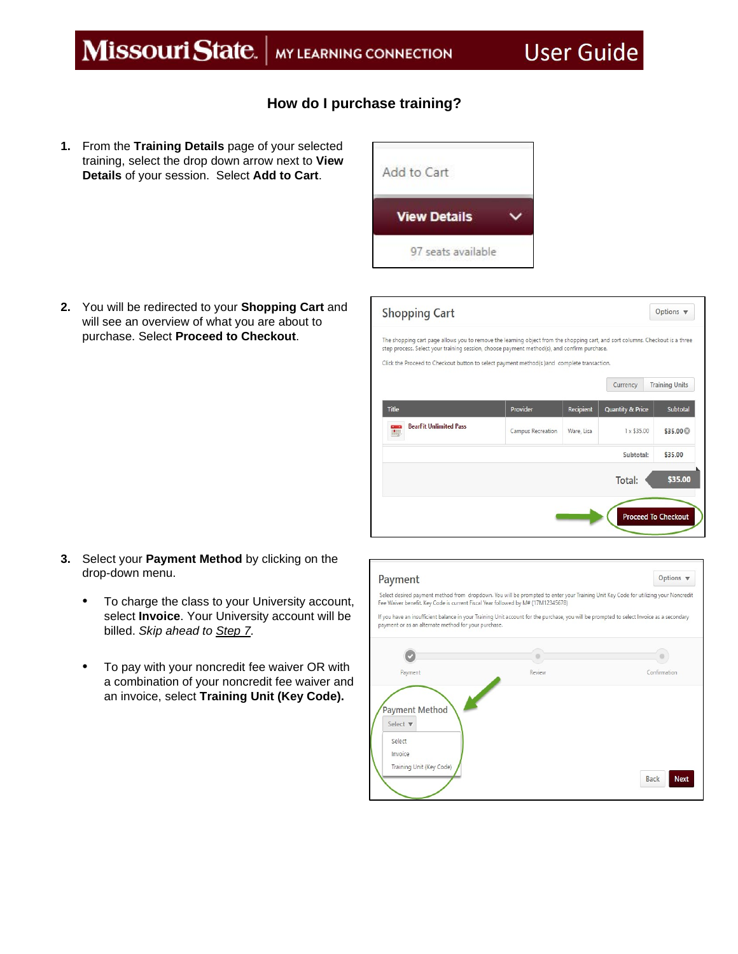## **How do I purchase training?**

**1.** From the **Training Details** page of your selected training, select the drop down arrow next to **View Details** of your session. Select **Add to Cart**.

**2.** You will be redirected to your **Shopping Cart** and will see an overview of what you are about to purchase. Select **Proceed to Checkout**.





- **3.** Select your **Payment Method** by clicking on the drop-down menu.
	- To charge the class to your University account, select **Invoice**. Your University account will be billed. *Skip ahead to Step 7.*
	- To pay with your noncredit fee waiver OR with a combination of your noncredit fee waiver and an invoice, select **Training Unit (Key Code).**

| Payment                                                                                               | Options $\blacktriangledown$                                                                                                              |                            |
|-------------------------------------------------------------------------------------------------------|-------------------------------------------------------------------------------------------------------------------------------------------|----------------------------|
| Fee Waiver benefit. Key Code is current Fiscal Year followed by M# (17M12345678)                      | Select desired payment method from dropdown. You will be prompted to enter your Training Unit Key Code for utilizing your Noncredit       |                            |
| payment or as an alternate method for your purchase.                                                  | If you have an insufficient balance in your Training Unit account for the purchase, you will be prompted to select Invoice as a secondary |                            |
|                                                                                                       |                                                                                                                                           |                            |
| Payment                                                                                               | Review                                                                                                                                    | Confirmation               |
| <b>Payment Method</b><br>Select $\blacktriangledown$<br>Select<br>Invoice<br>Training Unit (Key Code) |                                                                                                                                           | <b>Back</b><br><b>Next</b> |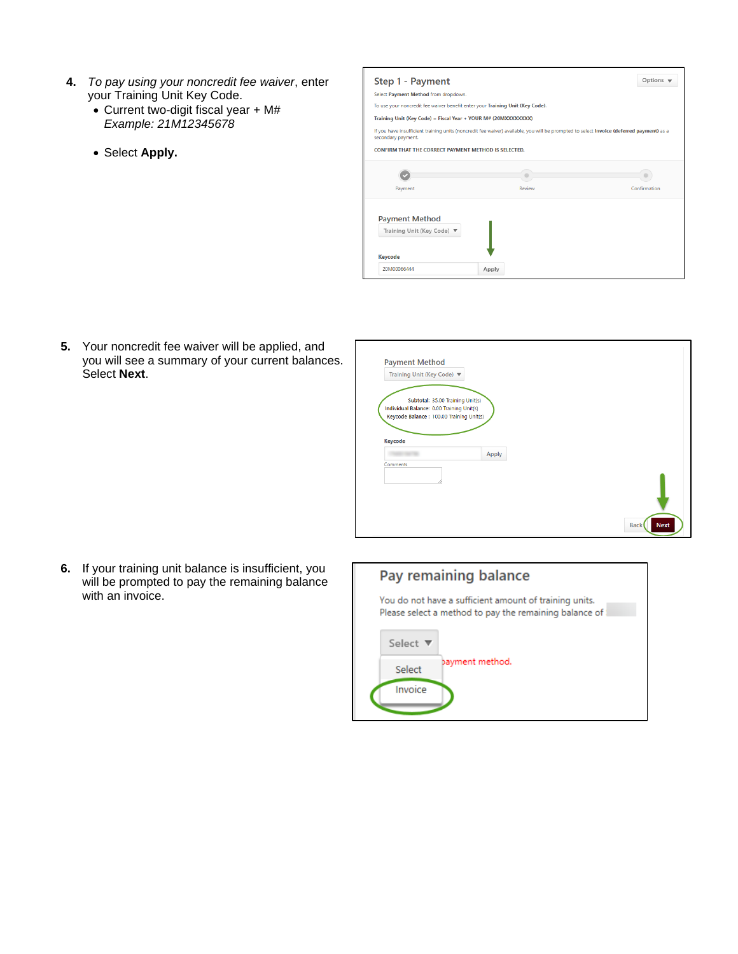- **4.** *To pay using your noncredit fee waiver*, enter your Training Unit Key Code.
	- Current two-digit fiscal year + M# *Example: 21M12345678*
	- Select **Apply.**

| Step 1 - Payment                                                                                                                                               | Options $\sqrt$ |              |  |  |  |  |  |  |
|----------------------------------------------------------------------------------------------------------------------------------------------------------------|-----------------|--------------|--|--|--|--|--|--|
| Select Payment Method from dropdown.                                                                                                                           |                 |              |  |  |  |  |  |  |
| To use your noncredit fee waiver benefit enter your Training Unit (Key Code).                                                                                  |                 |              |  |  |  |  |  |  |
| Training Unit (Key Code) = Fiscal Year + YOUR M# (20MXXXXXXXX)                                                                                                 |                 |              |  |  |  |  |  |  |
| If you have insufficient training units (noncredit fee waiver) available, you will be prompted to select Invoice (deferred payment) as a<br>secondary payment. |                 |              |  |  |  |  |  |  |
| CONFIRM THAT THE CORRECT PAYMENT METHOD IS SELECTED.                                                                                                           |                 |              |  |  |  |  |  |  |
|                                                                                                                                                                |                 |              |  |  |  |  |  |  |
| Payment                                                                                                                                                        | Review          | Confirmation |  |  |  |  |  |  |
| <b>Payment Method</b><br>Training Unit (Key Code) ▼<br>Keycode                                                                                                 |                 |              |  |  |  |  |  |  |
| 20M00066444                                                                                                                                                    | Apply           |              |  |  |  |  |  |  |

**5.** Your noncredit fee waiver will be applied, and you will see a summary of your current balances. Select **Next**.

| Individual Balance: 0.00 Training Unit(s) |  |  |
|-------------------------------------------|--|--|
| Keycode Balance: 100.00 Training Unit(s)  |  |  |
|                                           |  |  |
| Apply                                     |  |  |
|                                           |  |  |
|                                           |  |  |

**6.** If your training unit balance is insufficient, you will be prompted to pay the remaining balance with an invoice.

## Pay remaining balance

You do not have a sufficient amount of training units. Please select a method to pay the remaining balance of:

| Select $\blacktriangledown$ |                 |
|-----------------------------|-----------------|
| Select                      | bayment method. |
| Invoice                     |                 |